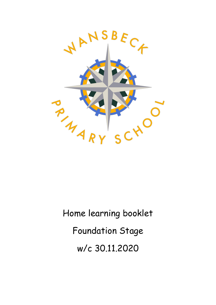

Home learning booklet Foundation Stage w/c 30.11.2020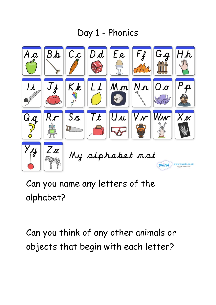## Day 1 - Phonics



Can you name any letters of the alphabet?

Can you think of any other animals or objects that begin with each letter?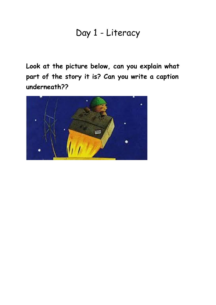#### Day 1 - Literacy

**Look at the picture below, can you explain what part of the story it is? Can you write a caption underneath??**

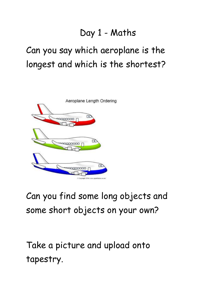## Day 1 - Maths

# Can you say which aeroplane is the longest and which is the shortest?



# Can you find some long objects and some short objects on your own?

Take a picture and upload onto tapestry.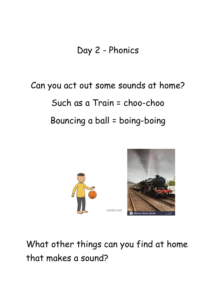## Day 2 - Phonics

# Can you act out some sounds at home? Such as a Train = choo-choo Bouncing a ball = boing-boing



alamy stock photo

What other things can you find at home that makes a sound?

twinkl.com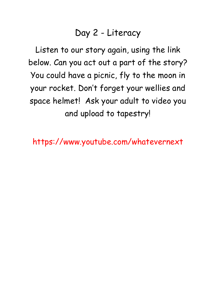### Day 2 - Literacy

Listen to our story again, using the link below. Can you act out a part of the story? You could have a picnic, fly to the moon in your rocket. Don't forget your wellies and space helmet! Ask your adult to video you and upload to tapestry!

https://www.youtube.com/whatevernext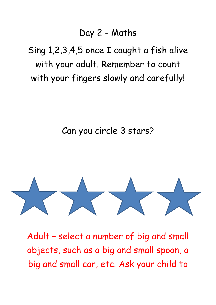#### Day 2 - Maths

Sing 1,2,3,4,5 once I caught a fish alive with your adult. Remember to count with your fingers slowly and carefully!

#### Can you circle 3 stars?



Adult – select a number of big and small objects, such as a big and small spoon, a big and small car, etc. Ask your child to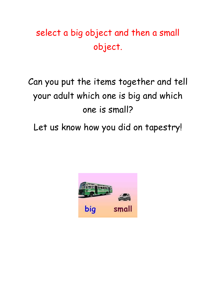# select a big object and then a small object.

# Can you put the items together and tell your adult which one is big and which one is small?

Let us know how you did on tapestry!

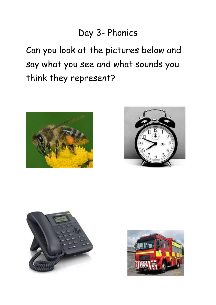### Day 3- Phonics

Can you look at the pictures below and say what you see and what sounds you think they represent?







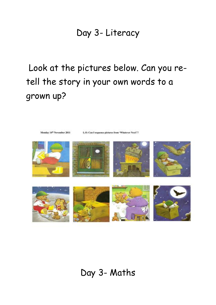#### Day 3- Literacy

Look at the pictures below. Can you retell the story in your own words to a grown up?



#### Day 3- Maths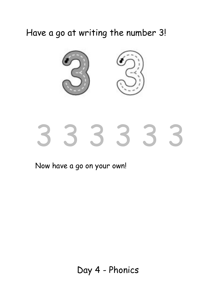Have a go at writing the number 3!



# 3 3 3 3 3 3

Now have a go on your own!

Day 4 - Phonics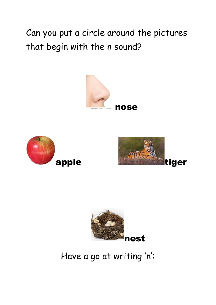Can you put a circle around the pictures that begin with the n sound?









Have a go at writing 'n':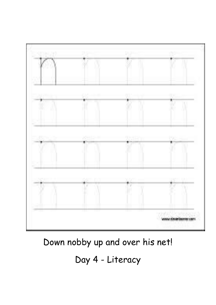

Down nobby up and over his net!

# Day 4 - Literacy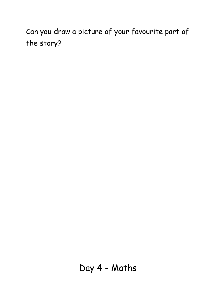Can you draw a picture of your favourite part of the story?

Day 4 - Maths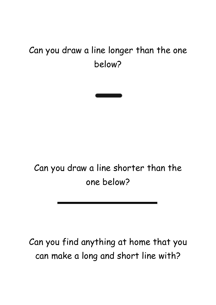# Can you draw a line longer than the one below?



Can you draw a line shorter than the one below?

Can you find anything at home that you can make a long and short line with?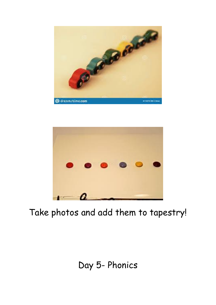



## Take photos and add them to tapestry!

### Day 5- Phonics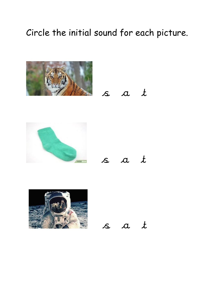## Circle the initial sound for each picture.







s a t



s a t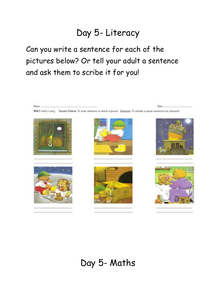## Day 5- Literacy

Can you write a sentence for each of the pictures below? Or tell your adult a sentence and ask them to scribe it for you!

Nome:

Data:

WALT retell a story. Success Criteria: To write sentences to match a picture. Extension: To include a casual connective (as, because)